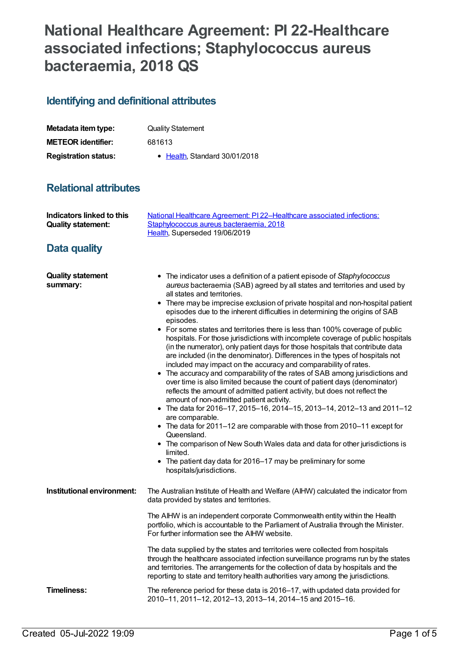## **National Healthcare Agreement: PI 22-Healthcare associated infections; Staphylococcus aureus bacteraemia, 2018 QS**

## **Identifying and definitional attributes**

| Metadata item type:         | <b>Quality Statement</b>     |
|-----------------------------|------------------------------|
| <b>METEOR identifier:</b>   | 681613                       |
| <b>Registration status:</b> | • Health Standard 30/01/2018 |

## **Relational attributes**

| <b>Indicators linked to this</b><br><b>Quality statement:</b><br>Data quality | National Healthcare Agreement: PI 22-Healthcare associated infections:<br>Staphylococcus aureus bacteraemia, 2018<br>Health, Superseded 19/06/2019                                                                                                                                                                                                                                                                                                                                                                                                                                                                                                                                                                                                                                                                                                                                                                                                                                                                                                                                                                                                                                                                                                                                                                                                                                                                                                      |
|-------------------------------------------------------------------------------|---------------------------------------------------------------------------------------------------------------------------------------------------------------------------------------------------------------------------------------------------------------------------------------------------------------------------------------------------------------------------------------------------------------------------------------------------------------------------------------------------------------------------------------------------------------------------------------------------------------------------------------------------------------------------------------------------------------------------------------------------------------------------------------------------------------------------------------------------------------------------------------------------------------------------------------------------------------------------------------------------------------------------------------------------------------------------------------------------------------------------------------------------------------------------------------------------------------------------------------------------------------------------------------------------------------------------------------------------------------------------------------------------------------------------------------------------------|
| <b>Quality statement</b><br>summary:                                          | • The indicator uses a definition of a patient episode of Staphylococcus<br>aureus bacteraemia (SAB) agreed by all states and territories and used by<br>all states and territories.<br>There may be imprecise exclusion of private hospital and non-hospital patient<br>٠<br>episodes due to the inherent difficulties in determining the origins of SAB<br>episodes.<br>• For some states and territories there is less than 100% coverage of public<br>hospitals. For those jurisdictions with incomplete coverage of public hospitals<br>(in the numerator), only patient days for those hospitals that contribute data<br>are included (in the denominator). Differences in the types of hospitals not<br>included may impact on the accuracy and comparability of rates.<br>• The accuracy and comparability of the rates of SAB among jurisdictions and<br>over time is also limited because the count of patient days (denominator)<br>reflects the amount of admitted patient activity, but does not reflect the<br>amount of non-admitted patient activity.<br>• The data for 2016-17, 2015-16, 2014-15, 2013-14, 2012-13 and 2011-12<br>are comparable.<br>• The data for 2011-12 are comparable with those from 2010-11 except for<br>Queensland.<br>• The comparison of New South Wales data and data for other jurisdictions is<br>limited.<br>• The patient day data for 2016–17 may be preliminary for some<br>hospitals/jurisdictions. |
| Institutional environment:                                                    | The Australian Institute of Health and Welfare (AIHW) calculated the indicator from<br>data provided by states and territories.<br>The AIHW is an independent corporate Commonwealth entity within the Health<br>portfolio, which is accountable to the Parliament of Australia through the Minister.<br>For further information see the AIHW website.<br>The data supplied by the states and territories were collected from hospitals<br>through the healthcare associated infection surveillance programs run by the states<br>and territories. The arrangements for the collection of data by hospitals and the<br>reporting to state and territory health authorities vary among the jurisdictions.                                                                                                                                                                                                                                                                                                                                                                                                                                                                                                                                                                                                                                                                                                                                                |
| Timeliness:                                                                   | The reference period for these data is 2016-17, with updated data provided for<br>2010-11, 2011-12, 2012-13, 2013-14, 2014-15 and 2015-16.                                                                                                                                                                                                                                                                                                                                                                                                                                                                                                                                                                                                                                                                                                                                                                                                                                                                                                                                                                                                                                                                                                                                                                                                                                                                                                              |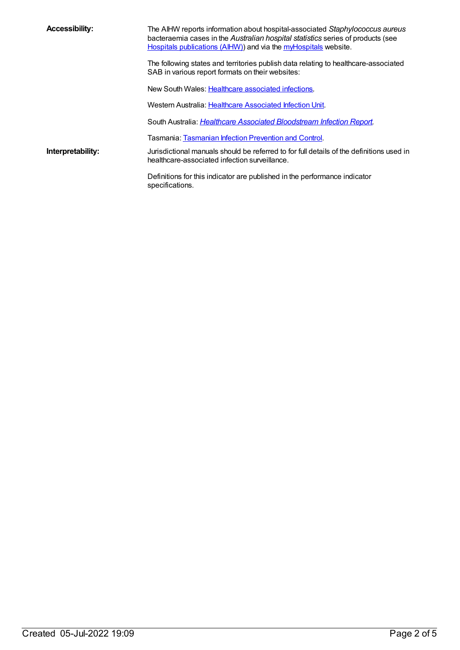| <b>Accessibility:</b> | The AIHW reports information about hospital-associated Staphylococcus aureus<br>bacteraemia cases in the Australian hospital statistics series of products (see<br>Hospitals publications (AIHW)) and via the myHospitals website. |
|-----------------------|------------------------------------------------------------------------------------------------------------------------------------------------------------------------------------------------------------------------------------|
|                       | The following states and territories publish data relating to healthcare-associated<br>SAB in various report formats on their websites:                                                                                            |
|                       | New South Wales: Healthcare associated infections.                                                                                                                                                                                 |
|                       | Western Australia: Healthcare Associated Infection Unit.                                                                                                                                                                           |
|                       | South Australia: Healthcare Associated Bloodstream Infection Report.                                                                                                                                                               |
|                       | Tasmania: Tasmanian Infection Prevention and Control.                                                                                                                                                                              |
| Interpretability:     | Jurisdictional manuals should be referred to for full details of the definitions used in<br>healthcare-associated infection surveillance.                                                                                          |
|                       | Definitions for this indicator are published in the performance indicator<br>specifications.                                                                                                                                       |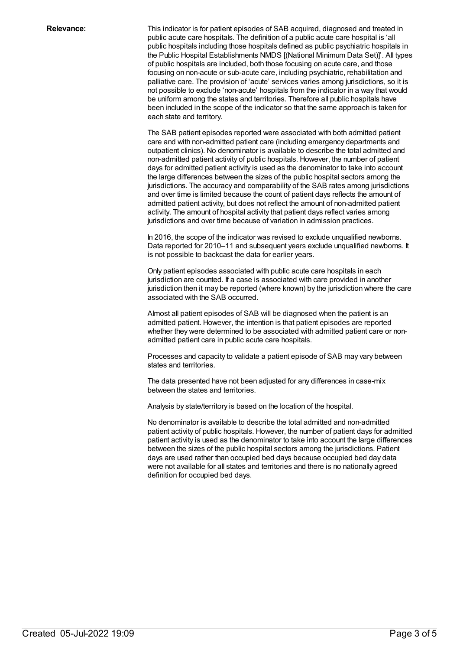**Relevance:** This indicator is for patient episodes of SAB acquired, diagnosed and treated in public acute care hospitals. The definition of a public acute care hospital is 'all public hospitals including those hospitals defined as public psychiatric hospitals in the Public Hospital Establishments NMDS [(National Minimum Data Set)]'. All types of public hospitals are included, both those focusing on acute care, and those focusing on non-acute or sub-acute care, including psychiatric, rehabilitation and palliative care. The provision of 'acute' services varies among jurisdictions, so it is not possible to exclude 'non-acute' hospitals from the indicator in a way that would be uniform among the states and territories. Therefore all public hospitals have been included in the scope of the indicator so that the same approach is taken for each state and territory.

> The SAB patient episodes reported were associated with both admitted patient care and with non-admitted patient care (including emergency departments and outpatient clinics). No denominator is available to describe the total admitted and non-admitted patient activity of public hospitals. However, the number of patient days for admitted patient activity is used as the denominator to take into account the large differences between the sizes of the public hospital sectors among the jurisdictions. The accuracy and comparability of the SAB rates among jurisdictions and over time is limited because the count of patient days reflects the amount of admitted patient activity, but does not reflect the amount of non-admitted patient activity. The amount of hospital activity that patient days reflect varies among jurisdictions and over time because of variation in admission practices.

> In 2016, the scope of the indicator was revised to exclude unqualified newborns. Data reported for 2010–11 and subsequent years exclude unqualified newborns. It is not possible to backcast the data for earlier years.

> Only patient episodes associated with public acute care hospitals in each jurisdiction are counted. If a case is associated with care provided in another jurisdiction then it may be reported (where known) by the jurisdiction where the care associated with the SAB occurred.

Almost all patient episodes of SAB will be diagnosed when the patient is an admitted patient. However, the intention is that patient episodes are reported whether they were determined to be associated with admitted patient care or nonadmitted patient care in public acute care hospitals.

Processes and capacity to validate a patient episode of SAB may vary between states and territories.

The data presented have not been adjusted for any differences in case-mix between the states and territories.

Analysis by state/territory is based on the location of the hospital.

No denominator is available to describe the total admitted and non-admitted patient activity of public hospitals. However, the number of patient days for admitted patient activity is used as the denominator to take into account the large differences between the sizes of the public hospital sectors among the jurisdictions. Patient days are used rather than occupied bed days because occupied bed day data were not available for all states and territories and there is no nationally agreed definition for occupied bed days.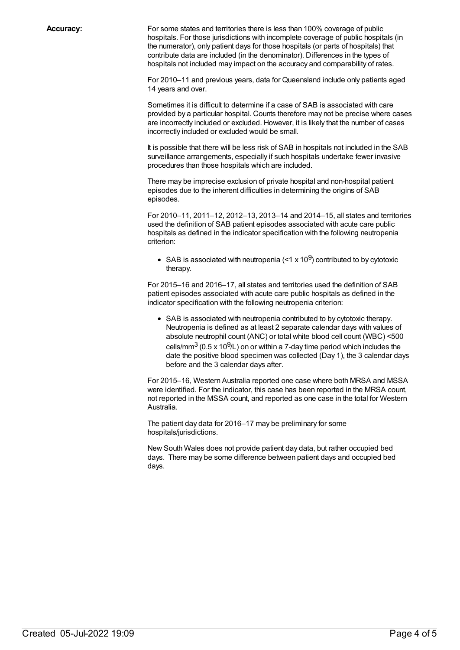**Accuracy:** For some states and territories there is less than 100% coverage of public hospitals. For those jurisdictions with incomplete coverage of public hospitals (in the numerator), only patient days for those hospitals (or parts of hospitals) that contribute data are included (in the denominator). Differences in the types of hospitals not included may impact on the accuracy and comparability of rates.

> For 2010–11 and previous years, data for Queensland include only patients aged 14 years and over.

Sometimes it is difficult to determine if a case of SAB is associated with care provided by a particular hospital. Counts therefore may not be precise where cases are incorrectly included or excluded. However, it is likely that the number of cases incorrectly included or excluded would be small.

It is possible that there will be less risk of SAB in hospitals not included in the SAB surveillance arrangements, especially if such hospitals undertake fewer invasive procedures than those hospitals which are included.

There may be imprecise exclusion of private hospital and non-hospital patient episodes due to the inherent difficulties in determining the origins of SAB episodes.

For 2010–11, 2011–12, 2012–13, 2013–14 and 2014–15, all states and territories used the definition of SAB patient episodes associated with acute care public hospitals as defined in the indicator specification with the following neutropenia criterion:

SAB is associated with neutropenia (<1 x 10 $^{9}$ ) contributed to by cytotoxic therapy.

For 2015–16 and 2016–17, all states and territories used the definition of SAB patient episodes associated with acute care public hospitals as defined in the indicator specification with the following neutropenia criterion:

• SAB is associated with neutropenia contributed to by cytotoxic therapy. Neutropenia is defined as at least 2 separate calendar days with values of absolute neutrophil count (ANC) or total white blood cell count (WBC) <500 cells/mm $^3$  (0.5 x 10 $^9$ /L) on or within a 7-day time period which includes the date the positive blood specimen was collected (Day 1), the 3 calendar days before and the 3 calendar days after.

For 2015–16, Western Australia reported one case where both MRSA and MSSA were identified. For the indicator, this case has been reported in the MRSA count, not reported in the MSSA count, and reported as one case in the total for Western Australia.

The patient day data for 2016–17 may be preliminary for some hospitals/jurisdictions.

New South Wales does not provide patient day data, but rather occupied bed days. There may be some difference between patient days and occupied bed days.